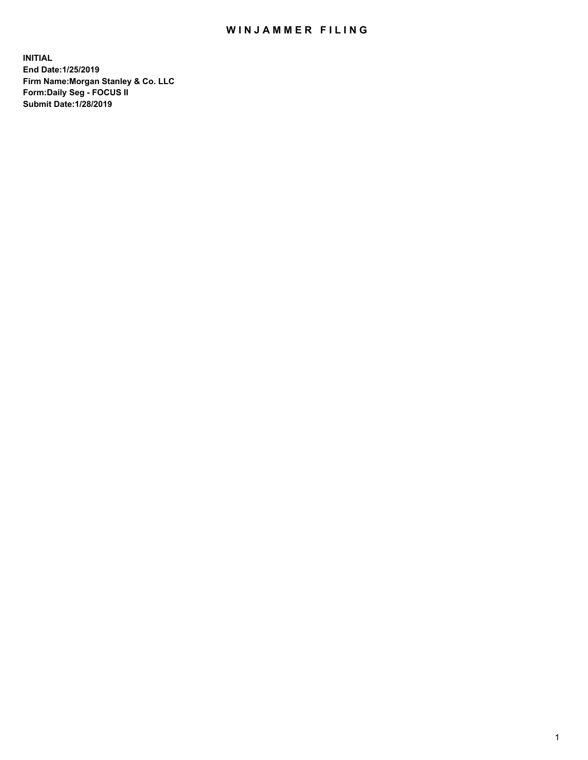## WIN JAMMER FILING

**INITIAL End Date:1/25/2019 Firm Name:Morgan Stanley & Co. LLC Form:Daily Seg - FOCUS II Submit Date:1/28/2019**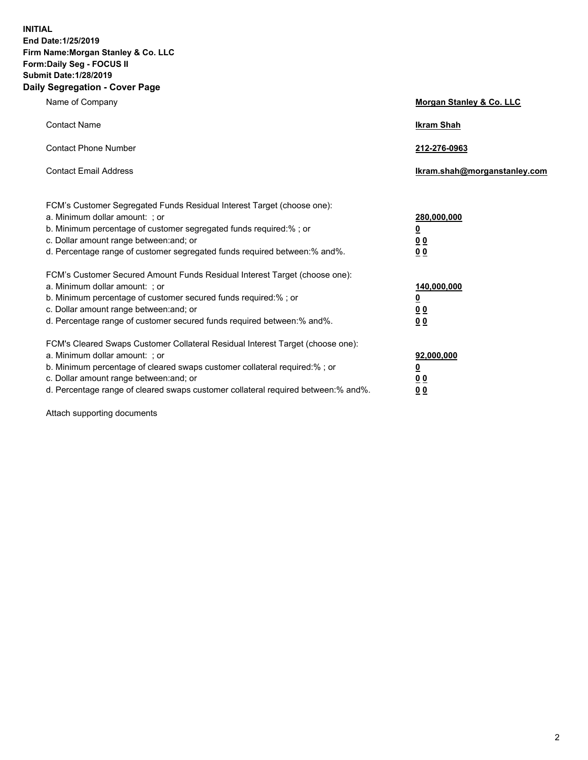**INITIAL End Date:1/25/2019 Firm Name:Morgan Stanley & Co. LLC Form:Daily Seg - FOCUS II Submit Date:1/28/2019 Daily Segregation - Cover Page**

| Name of Company                                                                                                                                                                                                                                                                                                                | Morgan Stanley & Co. LLC                  |
|--------------------------------------------------------------------------------------------------------------------------------------------------------------------------------------------------------------------------------------------------------------------------------------------------------------------------------|-------------------------------------------|
| <b>Contact Name</b>                                                                                                                                                                                                                                                                                                            | <b>Ikram Shah</b>                         |
| <b>Contact Phone Number</b>                                                                                                                                                                                                                                                                                                    | 212-276-0963                              |
| <b>Contact Email Address</b>                                                                                                                                                                                                                                                                                                   | Ikram.shah@morganstanley.com              |
| FCM's Customer Segregated Funds Residual Interest Target (choose one):<br>a. Minimum dollar amount: ; or<br>b. Minimum percentage of customer segregated funds required:% ; or<br>c. Dollar amount range between: and; or                                                                                                      | 280,000,000<br><u>0</u><br><u>00</u>      |
| d. Percentage range of customer segregated funds required between:% and%.<br>FCM's Customer Secured Amount Funds Residual Interest Target (choose one):<br>a. Minimum dollar amount: ; or                                                                                                                                      | 0 <sub>0</sub><br>140,000,000             |
| b. Minimum percentage of customer secured funds required:% ; or<br>c. Dollar amount range between: and; or<br>d. Percentage range of customer secured funds required between:% and%.                                                                                                                                           | <u>0</u><br>0 <sub>0</sub><br>00          |
| FCM's Cleared Swaps Customer Collateral Residual Interest Target (choose one):<br>a. Minimum dollar amount: ; or<br>b. Minimum percentage of cleared swaps customer collateral required:% ; or<br>c. Dollar amount range between: and; or<br>d. Percentage range of cleared swaps customer collateral required between:% and%. | 92,000,000<br><u>0</u><br><u>00</u><br>00 |

Attach supporting documents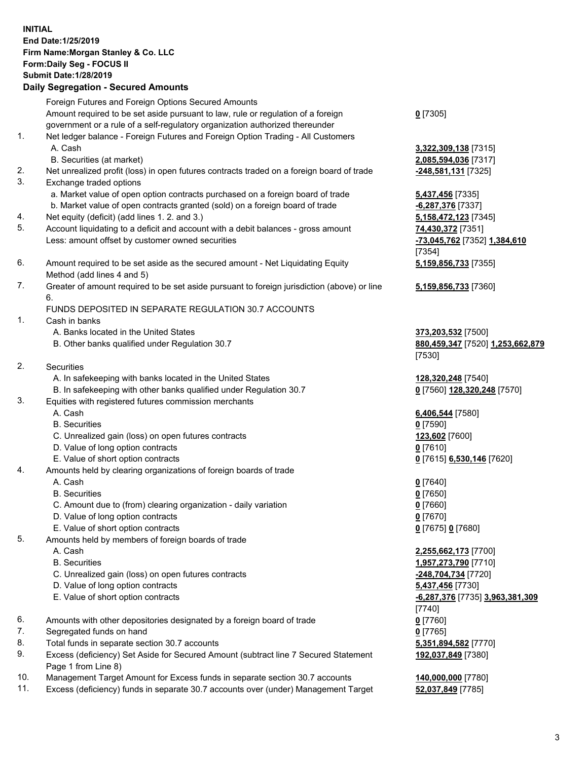## **INITIAL End Date:1/25/2019 Firm Name:Morgan Stanley & Co. LLC Form:Daily Seg - FOCUS II Submit Date:1/28/2019 Daily Segregation - Secured Amounts** Foreign Futures and Foreign Options Secured Amounts Amount required to be set aside pursuant to law, rule or regulation of a foreign government or a rule of a self-regulatory organization authorized thereunder 1. Net ledger balance - Foreign Futures and Foreign Option Trading - All Customers A. Cash **3,322,309,138** [7315] B. Securities (at market) **2,085,594,036** [7317] 2. Net unrealized profit (loss) in open futures contracts traded on a foreign board of trade **-248,581,131** [7325] 3. Exchange traded options a. Market value of open option contracts purchased on a foreign board of trade **5,437,456** [7335] b. Market value of open contracts granted (sold) on a foreign board of trade **-6,287,376** [7337] 4. Net equity (deficit) (add lines 1. 2. and 3.) **5,158,472,123** [7345] 5. Account liquidating to a deficit and account with a debit balances - gross amount **74,430,372** [7351] Less: amount offset by customer owned securities **-73,045,762** [7352] **1,384,610** 6. Amount required to be set aside as the secured amount - Net Liquidating Equity Method (add lines 4 and 5) 7. Greater of amount required to be set aside pursuant to foreign jurisdiction (above) or line 6. FUNDS DEPOSITED IN SEPARATE REGULATION 30.7 ACCOUNTS 1. Cash in banks A. Banks located in the United States **373,203,532** [7500] B. Other banks qualified under Regulation 30.7 **880,459,347** [7520] **1,253,662,879** 2. Securities A. In safekeeping with banks located in the United States **128,320,248** [7540] B. In safekeeping with other banks qualified under Regulation 30.7 **0** [7560] **128,320,248** [7570] 3. Equities with registered futures commission merchants A. Cash **6,406,544** [7580] B. Securities **0** [7590] C. Unrealized gain (loss) on open futures contracts **123,602** [7600] D. Value of long option contracts **0** [7610] E. Value of short option contracts **0** [7615] **6,530,146** [7620] 4. Amounts held by clearing organizations of foreign boards of trade A. Cash **0** [7640] B. Securities **0** [7650]

- C. Amount due to (from) clearing organization daily variation **0** [7660]
- D. Value of long option contracts **0** [7670]
- E. Value of short option contracts **0** [7675] **0** [7680]
- 5. Amounts held by members of foreign boards of trade
	-
	-
	- C. Unrealized gain (loss) on open futures contracts **-248,704,734** [7720]
	- D. Value of long option contracts **5,437,456** [7730]
	- E. Value of short option contracts **-6,287,376** [7735] **3,963,381,309**
- 6. Amounts with other depositories designated by a foreign board of trade **0** [7760]
- 7. Segregated funds on hand **0** [7765]
- 8. Total funds in separate section 30.7 accounts **5,351,894,582** [7770]
- 9. Excess (deficiency) Set Aside for Secured Amount (subtract line 7 Secured Statement Page 1 from Line 8)
- 10. Management Target Amount for Excess funds in separate section 30.7 accounts **140,000,000** [7780]
- 11. Excess (deficiency) funds in separate 30.7 accounts over (under) Management Target **52,037,849** [7785]

**0** [7305]

[7354] **5,159,856,733** [7355]

**5,159,856,733** [7360]

[7530]

 A. Cash **2,255,662,173** [7700] B. Securities **1,957,273,790** [7710] [7740] **192,037,849** [7380]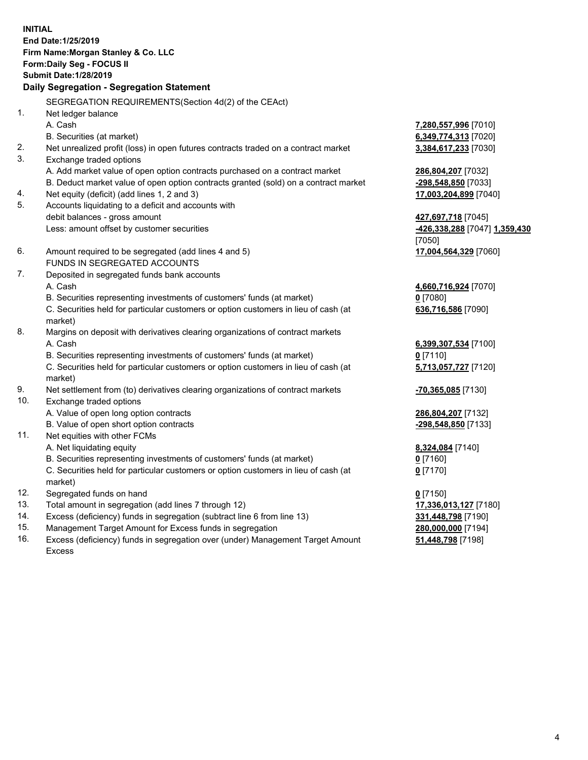**INITIAL End Date:1/25/2019 Firm Name:Morgan Stanley & Co. LLC Form:Daily Seg - FOCUS II Submit Date:1/28/2019 Daily Segregation - Segregation Statement** SEGREGATION REQUIREMENTS(Section 4d(2) of the CEAct) 1. Net ledger balance A. Cash **7,280,557,996** [7010] B. Securities (at market) **6,349,774,313** [7020] 2. Net unrealized profit (loss) in open futures contracts traded on a contract market **3,384,617,233** [7030] 3. Exchange traded options A. Add market value of open option contracts purchased on a contract market **286,804,207** [7032] B. Deduct market value of open option contracts granted (sold) on a contract market **-298,548,850** [7033] 4. Net equity (deficit) (add lines 1, 2 and 3) **17,003,204,899** [7040] 5. Accounts liquidating to a deficit and accounts with debit balances - gross amount **427,697,718** [7045] Less: amount offset by customer securities **-426,338,288** [7047] **1,359,430** [7050] 6. Amount required to be segregated (add lines 4 and 5) **17,004,564,329** [7060] FUNDS IN SEGREGATED ACCOUNTS 7. Deposited in segregated funds bank accounts A. Cash **4,660,716,924** [7070] B. Securities representing investments of customers' funds (at market) **0** [7080] C. Securities held for particular customers or option customers in lieu of cash (at market) **636,716,586** [7090] 8. Margins on deposit with derivatives clearing organizations of contract markets A. Cash **6,399,307,534** [7100] B. Securities representing investments of customers' funds (at market) **0** [7110] C. Securities held for particular customers or option customers in lieu of cash (at market) **5,713,057,727** [7120] 9. Net settlement from (to) derivatives clearing organizations of contract markets **-70,365,085** [7130] 10. Exchange traded options A. Value of open long option contracts **286,804,207** [7132] B. Value of open short option contracts **-298,548,850** [7133] 11. Net equities with other FCMs A. Net liquidating equity **8,324,084** [7140] B. Securities representing investments of customers' funds (at market) **0** [7160] C. Securities held for particular customers or option customers in lieu of cash (at market) **0** [7170] 12. Segregated funds on hand **0** [7150] 13. Total amount in segregation (add lines 7 through 12) **17,336,013,127** [7180] 14. Excess (deficiency) funds in segregation (subtract line 6 from line 13) **331,448,798** [7190]

- 15. Management Target Amount for Excess funds in segregation **280,000,000** [7194]
- 16. Excess (deficiency) funds in segregation over (under) Management Target Amount Excess

**51,448,798** [7198]